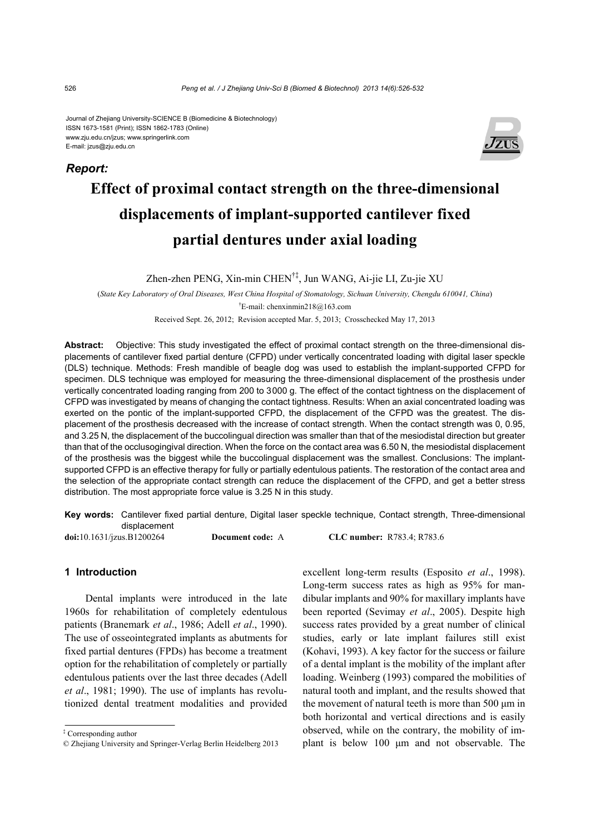#### Journal of Zhejiang University-SCIENCE B (Biomedicine & Biotechnology) ISSN 1673-1581 (Print); ISSN 1862-1783 (Online) www.zju.edu.cn/jzus; www.springerlink.com E-mail: jzus@zju.edu.cn



# **Effect of proximal contact strength on the three-dimensional displacements of implant-supported cantilever fixed partial dentures under axial loading**

Zhen-zhen PENG, Xin-min CHEN†‡, Jun WANG, Ai-jie LI, Zu-jie XU

(*State Key Laboratory of Oral Diseases, West China Hospital of Stomatology, Sichuan University, Chengdu 610041, China*) † E-mail: chenxinmin218@163.com

Received Sept. 26, 2012; Revision accepted Mar. 5, 2013; Crosschecked May 17, 2013

**Abstract:** Objective: This study investigated the effect of proximal contact strength on the three-dimensional displacements of cantilever fixed partial denture (CFPD) under vertically concentrated loading with digital laser speckle (DLS) technique. Methods: Fresh mandible of beagle dog was used to establish the implant-supported CFPD for specimen. DLS technique was employed for measuring the three-dimensional displacement of the prosthesis under vertically concentrated loading ranging from 200 to 3000 g. The effect of the contact tightness on the displacement of CFPD was investigated by means of changing the contact tightness. Results: When an axial concentrated loading was exerted on the pontic of the implant-supported CFPD, the displacement of the CFPD was the greatest. The displacement of the prosthesis decreased with the increase of contact strength. When the contact strength was 0, 0.95, and 3.25 N, the displacement of the buccolingual direction was smaller than that of the mesiodistal direction but greater than that of the occlusogingival direction. When the force on the contact area was 6.50 N, the mesiodistal displacement of the prosthesis was the biggest while the buccolingual displacement was the smallest. Conclusions: The implantsupported CFPD is an effective therapy for fully or partially edentulous patients. The restoration of the contact area and the selection of the appropriate contact strength can reduce the displacement of the CFPD, and get a better stress distribution. The most appropriate force value is 3.25 N in this study.

**Key words:** Cantilever fixed partial denture, Digital laser speckle technique, Contact strength, Three-dimensional displacement

**doi:**10.1631/jzus.B1200264 **Document code:** A **CLC number:** R783.4; R783.6

## **1 Introduction**

Dental implants were introduced in the late 1960s for rehabilitation of completely edentulous patients (Branemark *et al*., 1986; Adell *et al*., 1990). The use of osseointegrated implants as abutments for fixed partial dentures (FPDs) has become a treatment option for the rehabilitation of completely or partially edentulous patients over the last three decades (Adell *et al*., 1981; 1990). The use of implants has revolutionized dental treatment modalities and provided excellent long-term results (Esposito *et al*., 1998). Long-term success rates as high as 95% for mandibular implants and 90% for maxillary implants have been reported (Sevimay *et al*., 2005). Despite high success rates provided by a great number of clinical studies, early or late implant failures still exist (Kohavi, 1993). A key factor for the success or failure of a dental implant is the mobility of the implant after loading. Weinberg (1993) compared the mobilities of natural tooth and implant, and the results showed that the movement of natural teeth is more than 500 μm in both horizontal and vertical directions and is easily observed, while on the contrary, the mobility of implant is below 100 μm and not observable. The

*Report:*

<sup>‡</sup> Corresponding author

<sup>©</sup> Zhejiang University and Springer-Verlag Berlin Heidelberg 2013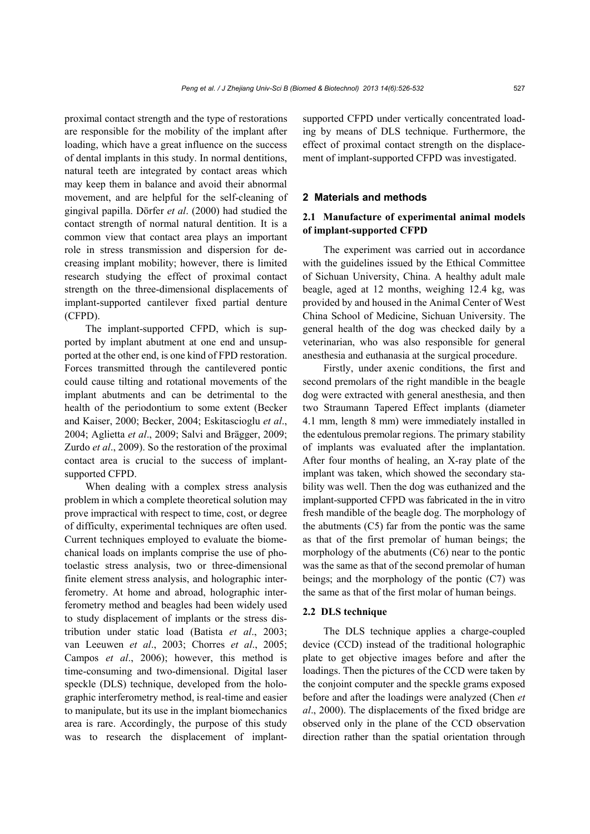proximal contact strength and the type of restorations are responsible for the mobility of the implant after loading, which have a great influence on the success of dental implants in this study. In normal dentitions, natural teeth are integrated by contact areas which may keep them in balance and avoid their abnormal movement, and are helpful for the self-cleaning of gingival papilla. Dörfer *et al*. (2000) had studied the contact strength of normal natural dentition. It is a common view that contact area plays an important role in stress transmission and dispersion for decreasing implant mobility; however, there is limited research studying the effect of proximal contact strength on the three-dimensional displacements of implant-supported cantilever fixed partial denture (CFPD).

The implant-supported CFPD, which is supported by implant abutment at one end and unsupported at the other end, is one kind of FPD restoration. Forces transmitted through the cantilevered pontic could cause tilting and rotational movements of the implant abutments and can be detrimental to the health of the periodontium to some extent (Becker and Kaiser, 2000; Becker, 2004; Eskitascioglu *et al*., 2004; Aglietta *et al*., 2009; Salvi and Brägger, 2009; Zurdo *et al*., 2009). So the restoration of the proximal contact area is crucial to the success of implantsupported CFPD.

When dealing with a complex stress analysis problem in which a complete theoretical solution may prove impractical with respect to time, cost, or degree of difficulty, experimental techniques are often used. Current techniques employed to evaluate the biomechanical loads on implants comprise the use of photoelastic stress analysis, two or three-dimensional finite element stress analysis, and holographic interferometry. At home and abroad, holographic interferometry method and beagles had been widely used to study displacement of implants or the stress distribution under static load (Batista *et al*., 2003; van Leeuwen *et al*., 2003; Chorres *et al*., 2005; Campos *et al*., 2006); however, this method is time-consuming and two-dimensional. Digital laser speckle (DLS) technique, developed from the holographic interferometry method, is real-time and easier to manipulate, but its use in the implant biomechanics area is rare. Accordingly, the purpose of this study was to research the displacement of implantsupported CFPD under vertically concentrated loading by means of DLS technique. Furthermore, the effect of proximal contact strength on the displacement of implant-supported CFPD was investigated.

#### **2 Materials and methods**

# **2.1 Manufacture of experimental animal models of implant-supported CFPD**

The experiment was carried out in accordance with the guidelines issued by the Ethical Committee of Sichuan University, China. A healthy adult male beagle, aged at 12 months, weighing 12.4 kg, was provided by and housed in the Animal Center of West China School of Medicine, Sichuan University. The general health of the dog was checked daily by a veterinarian, who was also responsible for general anesthesia and euthanasia at the surgical procedure.

Firstly, under axenic conditions, the first and second premolars of the right mandible in the beagle dog were extracted with general anesthesia, and then two Straumann Tapered Effect implants (diameter 4.1 mm, length 8 mm) were immediately installed in the edentulous premolar regions. The primary stability of implants was evaluated after the implantation. After four months of healing, an X-ray plate of the implant was taken, which showed the secondary stability was well. Then the dog was euthanized and the implant-supported CFPD was fabricated in the in vitro fresh mandible of the beagle dog. The morphology of the abutments (C5) far from the pontic was the same as that of the first premolar of human beings; the morphology of the abutments (C6) near to the pontic was the same as that of the second premolar of human beings; and the morphology of the pontic (C7) was the same as that of the first molar of human beings.

#### **2.2 DLS technique**

The DLS technique applies a charge-coupled device (CCD) instead of the traditional holographic plate to get objective images before and after the loadings. Then the pictures of the CCD were taken by the conjoint computer and the speckle grams exposed before and after the loadings were analyzed (Chen *et al*., 2000). The displacements of the fixed bridge are observed only in the plane of the CCD observation direction rather than the spatial orientation through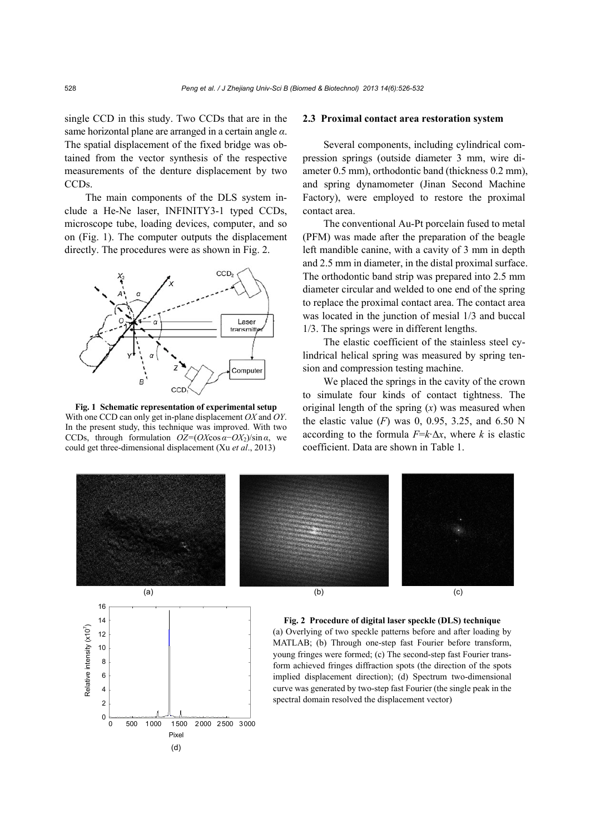single CCD in this study. Two CCDs that are in the same horizontal plane are arranged in a certain angle *α*. The spatial displacement of the fixed bridge was obtained from the vector synthesis of the respective measurements of the denture displacement by two CCD<sub>s</sub>.

The main components of the DLS system include a He-Ne laser, INFINITY3-1 typed CCDs, microscope tube, loading devices, computer, and so on (Fig. 1). The computer outputs the displacement directly. The procedures were as shown in Fig. 2.



**Fig. 1 Schematic representation of experimental setup**  With one CCD can only get in-plane displacement *OX* and *OY*. In the present study, this technique was improved. With two CCDs, through formulation  $OZ=(OX \cos \alpha - OX_2)/\sin \alpha$ , we could get three-dimensional displacement (Xu *et al*., 2013)

0 500 1000 1500 2000 2500 3000

Pixel

(d)

 $\Omega$ 

#### **2.3 Proximal contact area restoration system**

Several components, including cylindrical compression springs (outside diameter 3 mm, wire diameter 0.5 mm), orthodontic band (thickness 0.2 mm), and spring dynamometer (Jinan Second Machine Factory), were employed to restore the proximal contact area.

The conventional Au-Pt porcelain fused to metal (PFM) was made after the preparation of the beagle left mandible canine, with a cavity of 3 mm in depth and 2.5 mm in diameter, in the distal proximal surface. The orthodontic band strip was prepared into 2.5 mm diameter circular and welded to one end of the spring to replace the proximal contact area. The contact area was located in the junction of mesial 1/3 and buccal 1/3. The springs were in different lengths.

The elastic coefficient of the stainless steel cylindrical helical spring was measured by spring tension and compression testing machine.

We placed the springs in the cavity of the crown to simulate four kinds of contact tightness. The original length of the spring (*x*) was measured when the elastic value  $(F)$  was 0, 0.95, 3.25, and 6.50 N according to the formula  $F = k \Delta x$ , where *k* is elastic coefficient. Data are shown in Table 1.

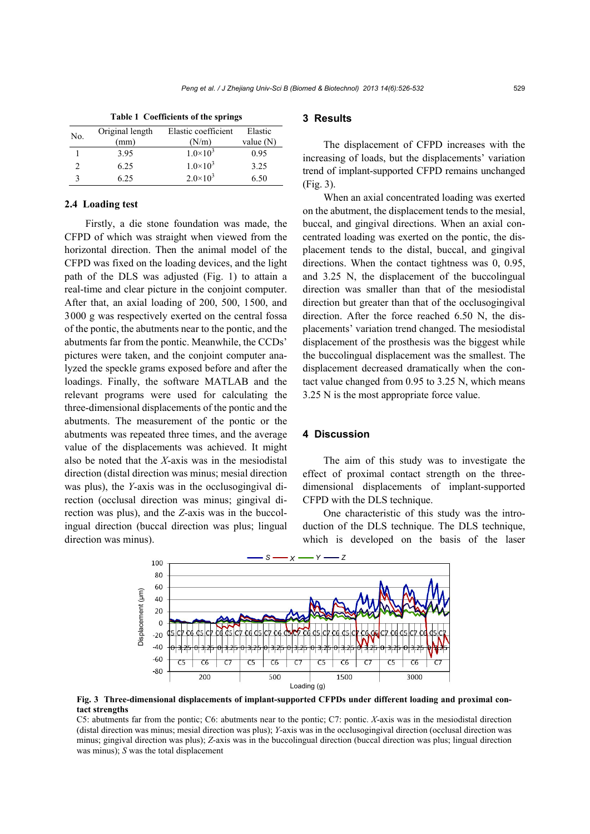| No. | Original length | Elastic coefficient | Elastic     |
|-----|-----------------|---------------------|-------------|
|     | (mm)            | (N/m)               | value $(N)$ |
|     | 3.95            | $1.0\times10^{3}$   | 0.95        |
|     | 6.25            | $1.0\times10^{3}$   | 3.25        |
|     | 6.25            | $2.0 \times 10^3$   | 6.50        |

**Table 1 Coefficients of the springs**

#### **2.4 Loading test**

Firstly, a die stone foundation was made, the CFPD of which was straight when viewed from the horizontal direction. Then the animal model of the CFPD was fixed on the loading devices, and the light path of the DLS was adjusted (Fig. 1) to attain a real-time and clear picture in the conjoint computer. After that, an axial loading of 200, 500, 1500, and 3000 g was respectively exerted on the central fossa of the pontic, the abutments near to the pontic, and the abutments far from the pontic. Meanwhile, the CCDs' pictures were taken, and the conjoint computer analyzed the speckle grams exposed before and after the loadings. Finally, the software MATLAB and the relevant programs were used for calculating the three-dimensional displacements of the pontic and the abutments. The measurement of the pontic or the abutments was repeated three times, and the average value of the displacements was achieved. It might also be noted that the *X*-axis was in the mesiodistal direction (distal direction was minus; mesial direction was plus), the *Y*-axis was in the occlusogingival direction (occlusal direction was minus; gingival direction was plus), and the *Z*-axis was in the buccolingual direction (buccal direction was plus; lingual direction was minus).

#### **3 Results**

The displacement of CFPD increases with the increasing of loads, but the displacements' variation trend of implant-supported CFPD remains unchanged (Fig. 3).

When an axial concentrated loading was exerted on the abutment, the displacement tends to the mesial, buccal, and gingival directions. When an axial concentrated loading was exerted on the pontic, the displacement tends to the distal, buccal, and gingival directions. When the contact tightness was 0, 0.95, and 3.25 N, the displacement of the buccolingual direction was smaller than that of the mesiodistal direction but greater than that of the occlusogingival direction. After the force reached 6.50 N, the displacements' variation trend changed. The mesiodistal displacement of the prosthesis was the biggest while the buccolingual displacement was the smallest. The displacement decreased dramatically when the contact value changed from 0.95 to 3.25 N, which means 3.25 N is the most appropriate force value.

#### **4 Discussion**

The aim of this study was to investigate the effect of proximal contact strength on the threedimensional displacements of implant-supported CFPD with the DLS technique.

One characteristic of this study was the introduction of the DLS technique. The DLS technique, which is developed on the basis of the laser



**Fig. 3 Three-dimensional displacements of implant-supported CFPDs under different loading and proximal contact strengths** 

C5: abutments far from the pontic; C6: abutments near to the pontic; C7: pontic. *X*-axis was in the mesiodistal direction (distal direction was minus; mesial direction was plus); *Y*-axis was in the occlusogingival direction (occlusal direction was minus; gingival direction was plus); *Z*-axis was in the buccolingual direction (buccal direction was plus; lingual direction was minus); *S* was the total displacement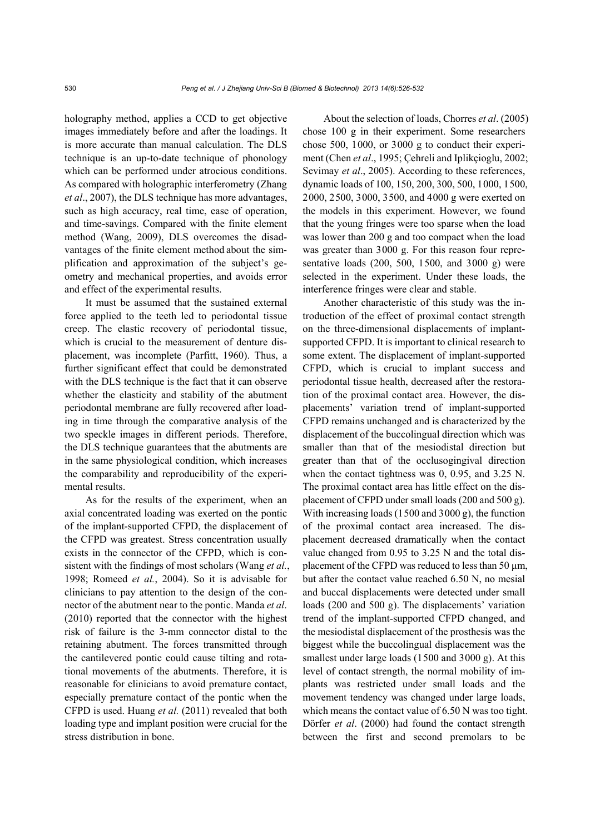holography method, applies a CCD to get objective images immediately before and after the loadings. It is more accurate than manual calculation. The DLS technique is an up-to-date technique of phonology which can be performed under atrocious conditions. As compared with holographic interferometry (Zhang *et al*., 2007), the DLS technique has more advantages, such as high accuracy, real time, ease of operation, and time-savings. Compared with the finite element method (Wang, 2009), DLS overcomes the disadvantages of the finite element method about the simplification and approximation of the subject's geometry and mechanical properties, and avoids error and effect of the experimental results.

It must be assumed that the sustained external force applied to the teeth led to periodontal tissue creep. The elastic recovery of periodontal tissue, which is crucial to the measurement of denture displacement, was incomplete (Parfitt, 1960). Thus, a further significant effect that could be demonstrated with the DLS technique is the fact that it can observe whether the elasticity and stability of the abutment periodontal membrane are fully recovered after loading in time through the comparative analysis of the two speckle images in different periods. Therefore, the DLS technique guarantees that the abutments are in the same physiological condition, which increases the comparability and reproducibility of the experimental results.

As for the results of the experiment, when an axial concentrated loading was exerted on the pontic of the implant-supported CFPD, the displacement of the CFPD was greatest. Stress concentration usually exists in the connector of the CFPD, which is consistent with the findings of most scholars (Wang *et al.*, 1998; Romeed *et al.*, 2004). So it is advisable for clinicians to pay attention to the design of the connector of the abutment near to the pontic. Manda *et al*. (2010) reported that the connector with the highest risk of failure is the 3-mm connector distal to the retaining abutment. The forces transmitted through the cantilevered pontic could cause tilting and rotational movements of the abutments. Therefore, it is reasonable for clinicians to avoid premature contact, especially premature contact of the pontic when the CFPD is used. Huang *et al.* (2011) revealed that both loading type and implant position were crucial for the stress distribution in bone.

About the selection of loads, Chorres *et al*. (2005) chose 100 g in their experiment. Some researchers chose 500, 1000, or 3000 g to conduct their experiment (Chen *et al*., 1995; Çehreli and Iplikçioglu, 2002; Sevimay *et al.*, 2005). According to these references, dynamic loads of 100, 150, 200, 300, 500, 1000, 1500, 2000, 2500, 3000, 3500, and 4000 g were exerted on the models in this experiment. However, we found that the young fringes were too sparse when the load was lower than 200 g and too compact when the load was greater than 3000 g. For this reason four representative loads (200, 500, 1500, and 3000 g) were selected in the experiment. Under these loads, the interference fringes were clear and stable.

Another characteristic of this study was the introduction of the effect of proximal contact strength on the three-dimensional displacements of implantsupported CFPD. It is important to clinical research to some extent. The displacement of implant-supported CFPD, which is crucial to implant success and periodontal tissue health, decreased after the restoration of the proximal contact area. However, the displacements' variation trend of implant-supported CFPD remains unchanged and is characterized by the displacement of the buccolingual direction which was smaller than that of the mesiodistal direction but greater than that of the occlusogingival direction when the contact tightness was 0, 0.95, and 3.25 N. The proximal contact area has little effect on the displacement of CFPD under small loads (200 and 500 g). With increasing loads (1500 and 3000 g), the function of the proximal contact area increased. The displacement decreased dramatically when the contact value changed from 0.95 to 3.25 N and the total displacement of the CFPD was reduced to less than 50  $\mu$ m, but after the contact value reached 6.50 N, no mesial and buccal displacements were detected under small loads (200 and 500 g). The displacements' variation trend of the implant-supported CFPD changed, and the mesiodistal displacement of the prosthesis was the biggest while the buccolingual displacement was the smallest under large loads (1500 and 3000 g). At this level of contact strength, the normal mobility of implants was restricted under small loads and the movement tendency was changed under large loads, which means the contact value of 6.50 N was too tight. Dörfer *et al*. (2000) had found the contact strength between the first and second premolars to be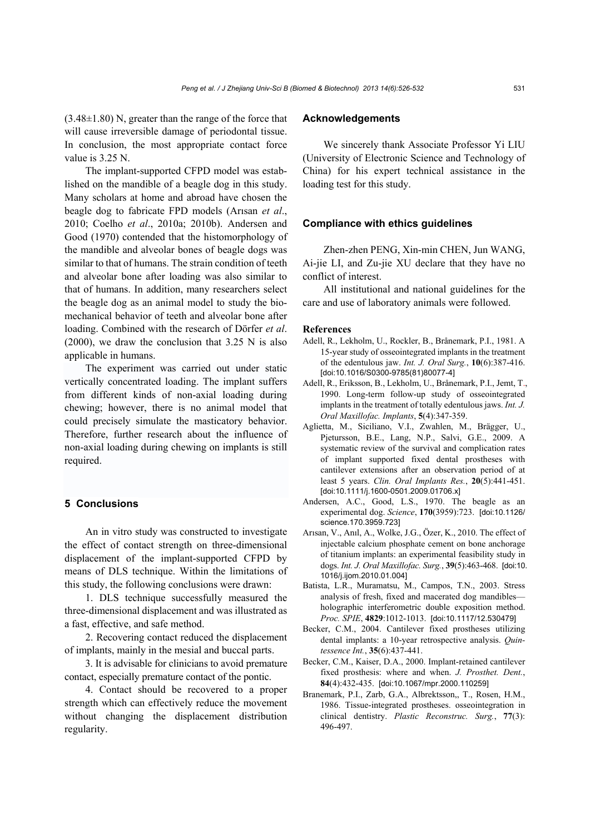(3.48±1.80) N, greater than the range of the force that will cause irreversible damage of periodontal tissue. In conclusion, the most appropriate contact force value is 3.25 N.

The implant-supported CFPD model was established on the mandible of a beagle dog in this study. Many scholars at home and abroad have chosen the beagle dog to fabricate FPD models (Arısan *et al*., 2010; Coelho *et al*., 2010a; 2010b). Andersen and Good (1970) contended that the histomorphology of the mandible and alveolar bones of beagle dogs was similar to that of humans. The strain condition of teeth and alveolar bone after loading was also similar to that of humans. In addition, many researchers select the beagle dog as an animal model to study the biomechanical behavior of teeth and alveolar bone after loading. Combined with the research of Dörfer *et al*. (2000), we draw the conclusion that 3.25 N is also applicable in humans.

The experiment was carried out under static vertically concentrated loading. The implant suffers from different kinds of non-axial loading during chewing; however, there is no animal model that could precisely simulate the masticatory behavior. Therefore, further research about the influence of non-axial loading during chewing on implants is still required.

# **5 Conclusions**

An in vitro study was constructed to investigate the effect of contact strength on three-dimensional displacement of the implant-supported CFPD by means of DLS technique. Within the limitations of this study, the following conclusions were drawn:

1. DLS technique successfully measured the three-dimensional displacement and was illustrated as a fast, effective, and safe method.

2. Recovering contact reduced the displacement of implants, mainly in the mesial and buccal parts.

3. It is advisable for clinicians to avoid premature contact, especially premature contact of the pontic.

4. Contact should be recovered to a proper strength which can effectively reduce the movement without changing the displacement distribution regularity.

## **Acknowledgements**

We sincerely thank Associate Professor Yi LIU (University of Electronic Science and Technology of China) for his expert technical assistance in the loading test for this study.

#### **Compliance with ethics guidelines**

Zhen-zhen PENG, Xin-min CHEN, Jun WANG, Ai-jie LI, and Zu-jie XU declare that they have no conflict of interest.

All institutional and national guidelines for the care and use of laboratory animals were followed.

#### **References**

- Adell, R., Lekholm, U., Rockler, B., Brånemark, P.I., 1981. A 15-year study of osseointegrated implants in the treatment of the edentulous jaw. *Int. J. Oral Surg.*, **10**(6):387-416. [doi:10.1016/S0300-9785(81)80077-4]
- Adell, R., Eriksson, B., Lekholm, U., Brånemark, P.I., Jemt, T., 1990. Long-term follow-up study of osseointegrated implants in the treatment of totally edentulous jaws. *Int. J. Oral Maxillofac. Implants*, **5**(4):347-359.
- Aglietta, M., Siciliano, V.I., Zwahlen, M., Brägger, U., Pjetursson, B.E., Lang, N.P., Salvi, G.E., 2009. A systematic review of the survival and complication rates of implant supported fixed dental prostheses with cantilever extensions after an observation period of at least 5 years. *Clin. Oral Implants Res.*, **20**(5):441-451. [doi:10.1111/j.1600-0501.2009.01706.x]
- Andersen, A.C., Good, L.S., 1970. The beagle as an experimental dog. *Science*, **170**(3959):723. [doi:10.1126/ science.170.3959.723]
- Arısan, V., Anıl, A., Wolke, J.G., Özer, K., 2010. The effect of injectable calcium phosphate cement on bone anchorage of titanium implants: an experimental feasibility study in dogs. *Int. J. Oral Maxillofac. Surg.*, **39**(5):463-468. [doi:10. 1016/j.ijom.2010.01.004]
- Batista, L.R., Muramatsu, M., Campos, T.N., 2003. Stress analysis of fresh, fixed and macerated dog mandibles holographic interferometric double exposition method. *Proc. SPIE*, **4829**:1012-1013. [doi:10.1117/12.530479]
- Becker, C.M., 2004. Cantilever fixed prostheses utilizing dental implants: a 10-year retrospective analysis. *Quintessence Int.*, **35**(6):437-441.
- Becker, C.M., Kaiser, D.A., 2000. Implant-retained cantilever fixed prosthesis: where and when. *J. Prosthet. Dent.*, **84**(4):432-435. [doi:10.1067/mpr.2000.110259]
- Branemark, P.I., Zarb, G.A., Albrektsson,, T., Rosen, H.M., 1986. Tissue-integrated prostheses. osseointegration in clinical dentistry. *Plastic Reconstruc. Surg.*, **77**(3): 496-497.